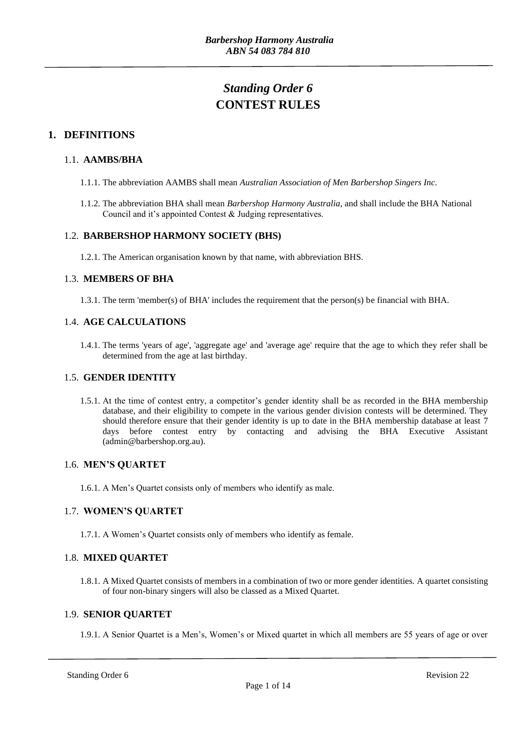# *Standing Order 6* **CONTEST RULES**

# **1. DEFINITIONS**

# 1.1. **AAMBS/BHA**

- 1.1.1. The abbreviation AAMBS shall mean *Australian Association of Men Barbershop Singers Inc.*
- 1.1.2. The abbreviation BHA shall mean *Barbershop Harmony Australia*, and shall include the BHA National Council and it's appointed Contest & Judging representatives.

# 1.2. **BARBERSHOP HARMONY SOCIETY (BHS)**

1.2.1. The American organisation known by that name, with abbreviation BHS.

# 1.3. **MEMBERS OF BHA**

1.3.1. The term 'member(s) of BHA' includes the requirement that the person(s) be financial with BHA.

# 1.4. **AGE CALCULATIONS**

1.4.1. The terms 'years of age', 'aggregate age' and 'average age' require that the age to which they refer shall be determined from the age at last birthday.

#### 1.5. **GENDER IDENTITY**

1.5.1. At the time of contest entry, a competitor's gender identity shall be as recorded in the BHA membership database, and their eligibility to compete in the various gender division contests will be determined. They should therefore ensure that their gender identity is up to date in the BHA membership database at least 7 days before contest entry by contacting and advising the BHA Executive Assistant (admin@barbershop.org.au).

#### 1.6. **MEN'S QUARTET**

1.6.1. A Men's Quartet consists only of members who identify as male.

# 1.7. **WOMEN'S QUARTET**

1.7.1. A Women's Quartet consists only of members who identify as female.

# 1.8. **MIXED QUARTET**

1.8.1. A Mixed Quartet consists of members in a combination of two or more gender identities. A quartet consisting of four non-binary singers will also be classed as a Mixed Quartet.

#### 1.9. **SENIOR QUARTET**

1.9.1. A Senior Quartet is a Men's, Women's or Mixed quartet in which all members are 55 years of age or over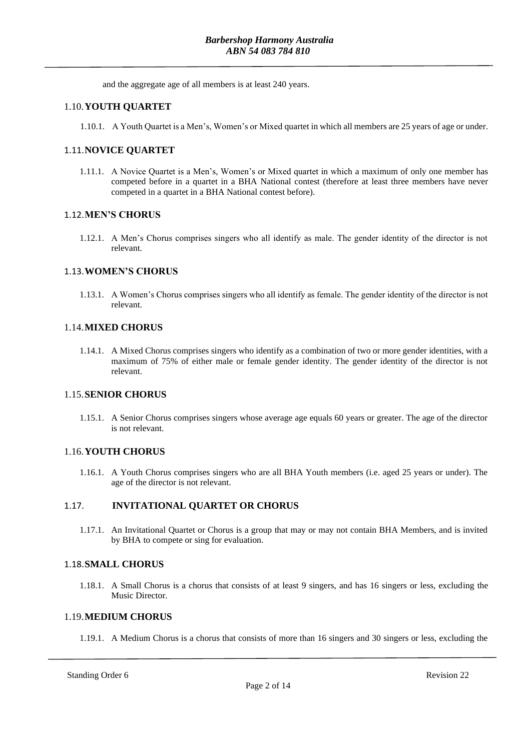and the aggregate age of all members is at least 240 years.

# 1.10.**YOUTH QUARTET**

1.10.1. A Youth Quartet is a Men's, Women's or Mixed quartet in which all members are 25 years of age or under.

### 1.11.**NOVICE QUARTET**

1.11.1. A Novice Quartet is a Men's, Women's or Mixed quartet in which a maximum of only one member has competed before in a quartet in a BHA National contest (therefore at least three members have never competed in a quartet in a BHA National contest before).

#### 1.12.**MEN'S CHORUS**

1.12.1. A Men's Chorus comprises singers who all identify as male. The gender identity of the director is not relevant.

#### 1.13.**WOMEN'S CHORUS**

1.13.1. A Women's Chorus comprises singers who all identify as female. The gender identity of the director is not relevant.

#### 1.14.**MIXED CHORUS**

1.14.1. A Mixed Chorus comprises singers who identify as a combination of two or more gender identities, with a maximum of 75% of either male or female gender identity. The gender identity of the director is not relevant.

#### 1.15.**SENIOR CHORUS**

1.15.1. A Senior Chorus comprises singers whose average age equals 60 years or greater. The age of the director is not relevant.

#### 1.16.**YOUTH CHORUS**

1.16.1. A Youth Chorus comprises singers who are all BHA Youth members (i.e. aged 25 years or under). The age of the director is not relevant.

#### 1.17. **INVITATIONAL QUARTET OR CHORUS**

1.17.1. An Invitational Quartet or Chorus is a group that may or may not contain BHA Members, and is invited by BHA to compete or sing for evaluation.

#### 1.18.**SMALL CHORUS**

1.18.1. A Small Chorus is a chorus that consists of at least 9 singers, and has 16 singers or less, excluding the Music Director.

#### 1.19.**MEDIUM CHORUS**

1.19.1. A Medium Chorus is a chorus that consists of more than 16 singers and 30 singers or less, excluding the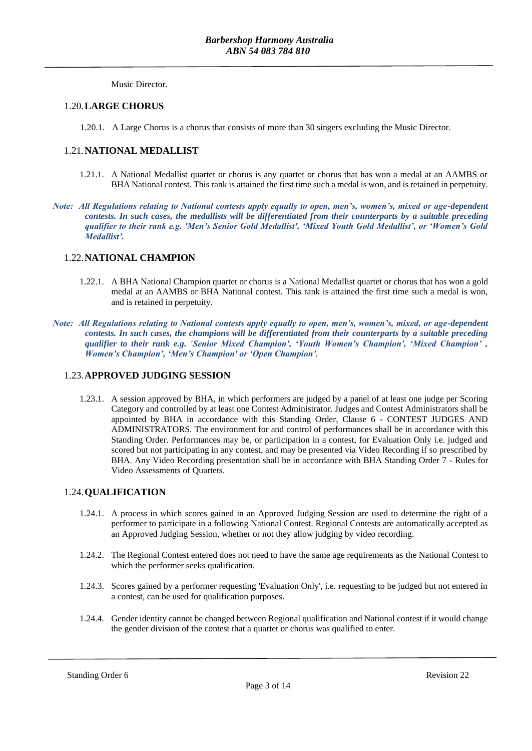Music Director.

#### 1.20.**LARGE CHORUS**

1.20.1. A Large Chorus is a chorus that consists of more than 30 singers excluding the Music Director.

### 1.21.**NATIONAL MEDALLIST**

- 1.21.1. A National Medallist quartet or chorus is any quartet or chorus that has won a medal at an AAMBS or BHA National contest. This rank is attained the first time such a medal is won, and is retained in perpetuity.
- *Note: All Regulations relating to National contests apply equally to open, men's, women's, mixed or age-dependent contests. In such cases, the medallists will be differentiated from their counterparts by a suitable preceding qualifier to their rank e.g. 'Men's Senior Gold Medallist', 'Mixed Youth Gold Medallist', or 'Women's Gold Medallist'.*

# 1.22.**NATIONAL CHAMPION**

- 1.22.1. A BHA National Champion quartet or chorus is a National Medallist quartet or chorus that has won a gold medal at an AAMBS or BHA National contest. This rank is attained the first time such a medal is won, and is retained in perpetuity.
- *Note: All Regulations relating to National contests apply equally to open, men's, women's, mixed, or age-dependent contests. In such cases, the champions will be differentiated from their counterparts by a suitable preceding qualifier to their rank e.g. 'Senior Mixed Champion', 'Youth Women's Champion', 'Mixed Champion' , Women's Champion', 'Men's Champion' or 'Open Champion'.*

### 1.23.**APPROVED JUDGING SESSION**

1.23.1. A session approved by BHA, in which performers are judged by a panel of at least one judge per Scoring Category and controlled by at least one Contest Administrator. Judges and Contest Administrators shall be appointed by BHA in accordance with this Standing Order, Clause 6 - CONTEST JUDGES AND ADMINISTRATORS. The environment for and control of performances shall be in accordance with this Standing Order. Performances may be, or participation in a contest, for Evaluation Only i.e. judged and scored but not participating in any contest, and may be presented via Video Recording if so prescribed by BHA. Any Video Recording presentation shall be in accordance with BHA Standing Order 7 - Rules for Video Assessments of Quartets.

#### 1.24.**QUALIFICATION**

- 1.24.1. A process in which scores gained in an Approved Judging Session are used to determine the right of a performer to participate in a following National Contest. Regional Contests are automatically accepted as an Approved Judging Session, whether or not they allow judging by video recording.
- 1.24.2. The Regional Contest entered does not need to have the same age requirements as the National Contest to which the performer seeks qualification.
- 1.24.3. Scores gained by a performer requesting 'Evaluation Only', i.e. requesting to be judged but not entered in a contest, can be used for qualification purposes.
- 1.24.4. Gender identity cannot be changed between Regional qualification and National contest if it would change the gender division of the contest that a quartet or chorus was qualified to enter.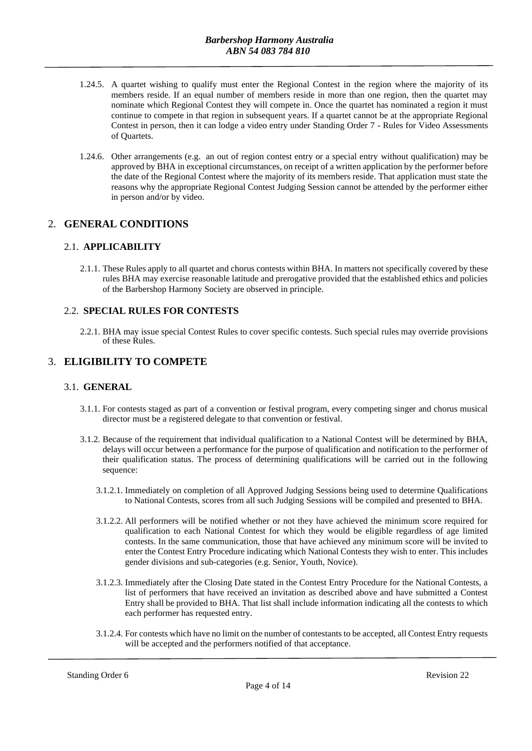- 1.24.5. A quartet wishing to qualify must enter the Regional Contest in the region where the majority of its members reside. If an equal number of members reside in more than one region, then the quartet may nominate which Regional Contest they will compete in. Once the quartet has nominated a region it must continue to compete in that region in subsequent years. If a quartet cannot be at the appropriate Regional Contest in person, then it can lodge a video entry under Standing Order 7 - Rules for Video Assessments of Quartets.
- 1.24.6. Other arrangements (e.g. an out of region contest entry or a special entry without qualification) may be approved by BHA in exceptional circumstances, on receipt of a written application by the performer before the date of the Regional Contest where the majority of its members reside. That application must state the reasons why the appropriate Regional Contest Judging Session cannot be attended by the performer either in person and/or by video.

# 2. **GENERAL CONDITIONS**

# 2.1. **APPLICABILITY**

2.1.1. These Rules apply to all quartet and chorus contests within BHA. In matters not specifically covered by these rules BHA may exercise reasonable latitude and prerogative provided that the established ethics and policies of the Barbershop Harmony Society are observed in principle.

### 2.2. **SPECIAL RULES FOR CONTESTS**

2.2.1. BHA may issue special Contest Rules to cover specific contests. Such special rules may override provisions of these Rules.

# 3. **ELIGIBILITY TO COMPETE**

#### 3.1. **GENERAL**

- 3.1.1. For contests staged as part of a convention or festival program, every competing singer and chorus musical director must be a registered delegate to that convention or festival.
- 3.1.2. Because of the requirement that individual qualification to a National Contest will be determined by BHA, delays will occur between a performance for the purpose of qualification and notification to the performer of their qualification status. The process of determining qualifications will be carried out in the following sequence:
	- 3.1.2.1. Immediately on completion of all Approved Judging Sessions being used to determine Qualifications to National Contests, scores from all such Judging Sessions will be compiled and presented to BHA.
	- 3.1.2.2. All performers will be notified whether or not they have achieved the minimum score required for qualification to each National Contest for which they would be eligible regardless of age limited contests. In the same communication, those that have achieved any minimum score will be invited to enter the Contest Entry Procedure indicating which National Contests they wish to enter. This includes gender divisions and sub-categories (e.g. Senior, Youth, Novice).
	- 3.1.2.3. Immediately after the Closing Date stated in the Contest Entry Procedure for the National Contests, a list of performers that have received an invitation as described above and have submitted a Contest Entry shall be provided to BHA. That list shall include information indicating all the contests to which each performer has requested entry.
	- 3.1.2.4. For contests which have no limit on the number of contestants to be accepted, all Contest Entry requests will be accepted and the performers notified of that acceptance.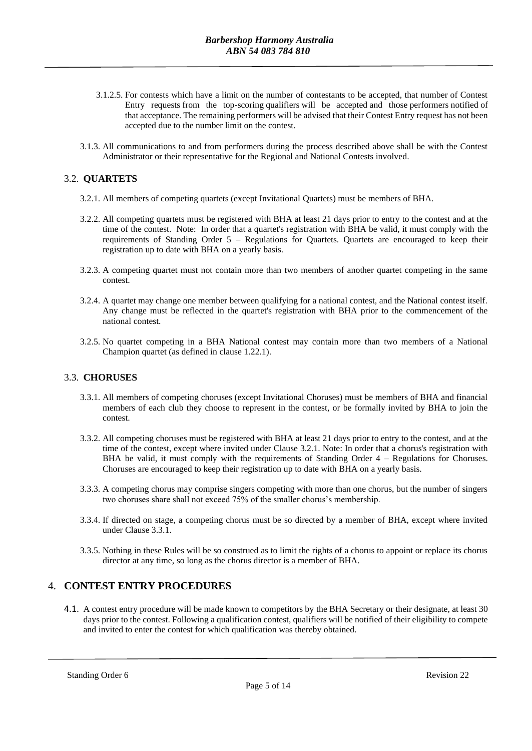- 3.1.2.5. For contests which have a limit on the number of contestants to be accepted, that number of Contest Entry requests from the top-scoring qualifiers will be accepted and those performers notified of that acceptance. The remaining performers will be advised that their Contest Entry request has not been accepted due to the number limit on the contest.
- 3.1.3. All communications to and from performers during the process described above shall be with the Contest Administrator or their representative for the Regional and National Contests involved.

# 3.2. **QUARTETS**

- 3.2.1. All members of competing quartets (except Invitational Quartets) must be members of BHA.
- 3.2.2. All competing quartets must be registered with BHA at least 21 days prior to entry to the contest and at the time of the contest. Note: In order that a quartet's registration with BHA be valid, it must comply with the requirements of Standing Order 5 – Regulations for Quartets. Quartets are encouraged to keep their registration up to date with BHA on a yearly basis.
- 3.2.3. A competing quartet must not contain more than two members of another quartet competing in the same contest.
- 3.2.4. A quartet may change one member between qualifying for a national contest, and the National contest itself. Any change must be reflected in the quartet's registration with BHA prior to the commencement of the national contest.
- 3.2.5. No quartet competing in a BHA National contest may contain more than two members of a National Champion quartet (as defined in clause 1.22.1).

#### 3.3. **CHORUSES**

- 3.3.1. All members of competing choruses (except Invitational Choruses) must be members of BHA and financial members of each club they choose to represent in the contest, or be formally invited by BHA to join the contest.
- 3.3.2. All competing choruses must be registered with BHA at least 21 days prior to entry to the contest, and at the time of the contest, except where invited under Clause 3.2.1. Note: In order that a chorus's registration with BHA be valid, it must comply with the requirements of Standing Order 4 – Regulations for Choruses. Choruses are encouraged to keep their registration up to date with BHA on a yearly basis.
- 3.3.3. A competing chorus may comprise singers competing with more than one chorus, but the number of singers two choruses share shall not exceed 75% of the smaller chorus's membership.
- 3.3.4. If directed on stage, a competing chorus must be so directed by a member of BHA, except where invited under Clause 3.3.1.
- 3.3.5. Nothing in these Rules will be so construed as to limit the rights of a chorus to appoint or replace its chorus director at any time, so long as the chorus director is a member of BHA.

#### 4. **CONTEST ENTRY PROCEDURES**

4.1. A contest entry procedure will be made known to competitors by the BHA Secretary or their designate, at least 30 days prior to the contest. Following a qualification contest, qualifiers will be notified of their eligibility to compete and invited to enter the contest for which qualification was thereby obtained.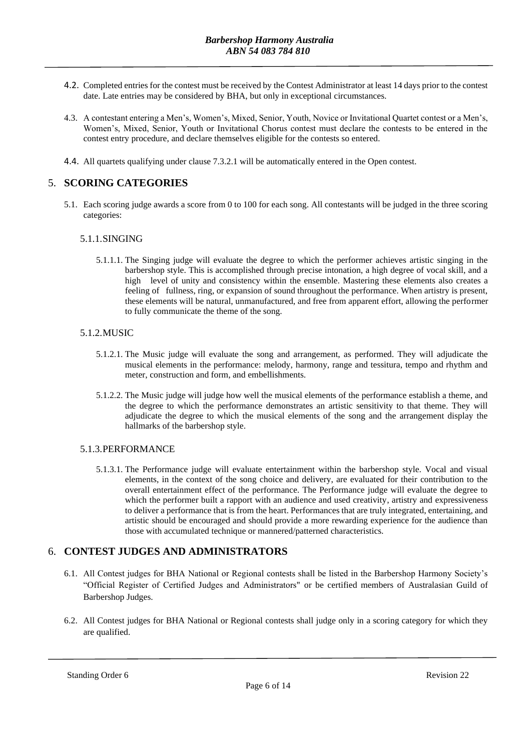- 4.2. Completed entries for the contest must be received by the Contest Administrator at least 14 days prior to the contest date. Late entries may be considered by BHA, but only in exceptional circumstances.
- 4.3. A contestant entering a Men's, Women's, Mixed, Senior, Youth, Novice or Invitational Quartet contest or a Men's, Women's, Mixed, Senior, Youth or Invitational Chorus contest must declare the contests to be entered in the contest entry procedure, and declare themselves eligible for the contests so entered.
- 4.4. All quartets qualifying under clause 7.3.2.1 will be automatically entered in the Open contest.

# 5. **SCORING CATEGORIES**

5.1. Each scoring judge awards a score from 0 to 100 for each song. All contestants will be judged in the three scoring categories:

#### 5.1.1.SINGING

5.1.1.1. The Singing judge will evaluate the degree to which the performer achieves artistic singing in the barbershop style. This is accomplished through precise intonation, a high degree of vocal skill, and a high level of unity and consistency within the ensemble. Mastering these elements also creates a feeling of fullness, ring, or expansion of sound throughout the performance. When artistry is present, these elements will be natural, unmanufactured, and free from apparent effort, allowing the performer to fully communicate the theme of the song.

#### 5.1.2.MUSIC

- 5.1.2.1. The Music judge will evaluate the song and arrangement, as performed. They will adjudicate the musical elements in the performance: melody, harmony, range and tessitura, tempo and rhythm and meter, construction and form, and embellishments.
- 5.1.2.2. The Music judge will judge how well the musical elements of the performance establish a theme, and the degree to which the performance demonstrates an artistic sensitivity to that theme. They will adjudicate the degree to which the musical elements of the song and the arrangement display the hallmarks of the barbershop style.

#### 5.1.3.PERFORMANCE

5.1.3.1. The Performance judge will evaluate entertainment within the barbershop style. Vocal and visual elements, in the context of the song choice and delivery, are evaluated for their contribution to the overall entertainment effect of the performance. The Performance judge will evaluate the degree to which the performer built a rapport with an audience and used creativity, artistry and expressiveness to deliver a performance that is from the heart. Performances that are truly integrated, entertaining, and artistic should be encouraged and should provide a more rewarding experience for the audience than those with accumulated technique or mannered/patterned characteristics.

# 6. **CONTEST JUDGES AND ADMINISTRATORS**

- 6.1. All Contest judges for BHA National or Regional contests shall be listed in the Barbershop Harmony Society's "Official Register of Certified Judges and Administrators" or be certified members of Australasian Guild of Barbershop Judges.
- 6.2. All Contest judges for BHA National or Regional contests shall judge only in a scoring category for which they are qualified.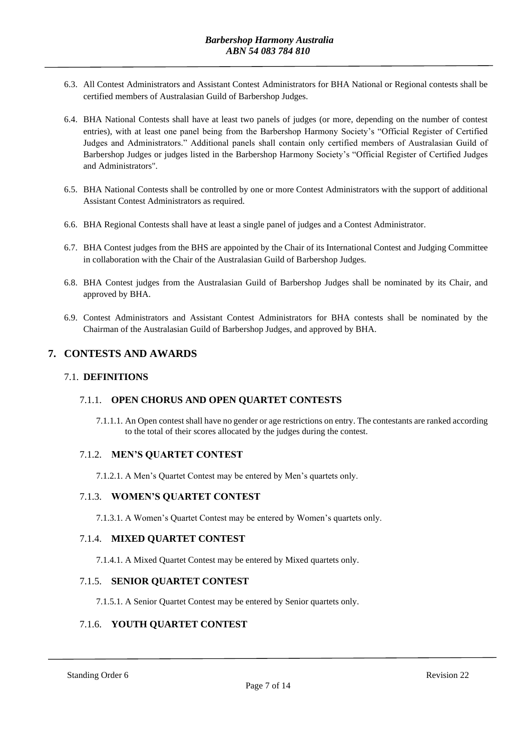- 6.3. All Contest Administrators and Assistant Contest Administrators for BHA National or Regional contests shall be certified members of Australasian Guild of Barbershop Judges.
- 6.4. BHA National Contests shall have at least two panels of judges (or more, depending on the number of contest entries), with at least one panel being from the Barbershop Harmony Society's "Official Register of Certified Judges and Administrators." Additional panels shall contain only certified members of Australasian Guild of Barbershop Judges or judges listed in the Barbershop Harmony Society's "Official Register of Certified Judges and Administrators".
- 6.5. BHA National Contests shall be controlled by one or more Contest Administrators with the support of additional Assistant Contest Administrators as required.
- 6.6. BHA Regional Contests shall have at least a single panel of judges and a Contest Administrator.
- 6.7. BHA Contest judges from the BHS are appointed by the Chair of its International Contest and Judging Committee in collaboration with the Chair of the Australasian Guild of Barbershop Judges.
- 6.8. BHA Contest judges from the Australasian Guild of Barbershop Judges shall be nominated by its Chair, and approved by BHA.
- 6.9. Contest Administrators and Assistant Contest Administrators for BHA contests shall be nominated by the Chairman of the Australasian Guild of Barbershop Judges, and approved by BHA.

# **7. CONTESTS AND AWARDS**

#### 7.1. **DEFINITIONS**

#### 7.1.1. **OPEN CHORUS AND OPEN QUARTET CONTESTS**

7.1.1.1. An Open contest shall have no gender or age restrictions on entry. The contestants are ranked according to the total of their scores allocated by the judges during the contest.

#### 7.1.2. **MEN'S QUARTET CONTEST**

7.1.2.1. A Men's Quartet Contest may be entered by Men's quartets only.

#### 7.1.3. **WOMEN'S QUARTET CONTEST**

7.1.3.1. A Women's Quartet Contest may be entered by Women's quartets only.

#### 7.1.4. **MIXED QUARTET CONTEST**

7.1.4.1. A Mixed Quartet Contest may be entered by Mixed quartets only.

### 7.1.5. **SENIOR QUARTET CONTEST**

7.1.5.1. A Senior Quartet Contest may be entered by Senior quartets only.

# 7.1.6. **YOUTH QUARTET CONTEST**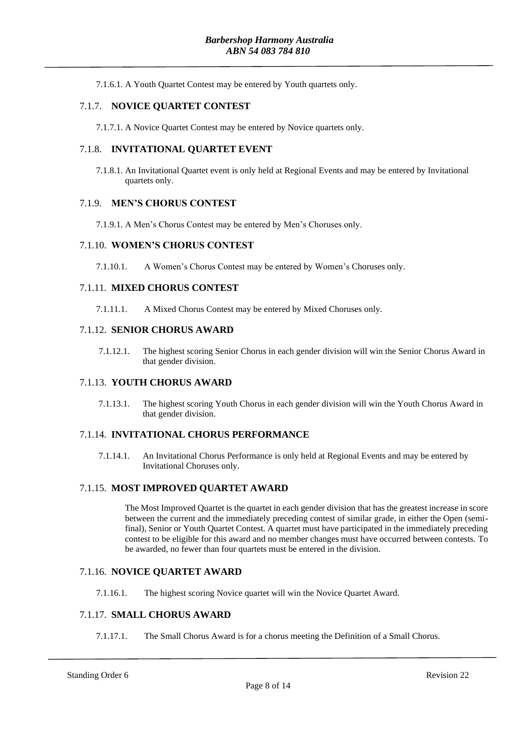7.1.6.1. A Youth Quartet Contest may be entered by Youth quartets only.

#### 7.1.7. **NOVICE QUARTET CONTEST**

7.1.7.1. A Novice Quartet Contest may be entered by Novice quartets only.

#### 7.1.8. **INVITATIONAL QUARTET EVENT**

7.1.8.1. An Invitational Quartet event is only held at Regional Events and may be entered by Invitational quartets only.

#### 7.1.9. **MEN'S CHORUS CONTEST**

7.1.9.1. A Men's Chorus Contest may be entered by Men's Choruses only.

#### 7.1.10. **WOMEN'S CHORUS CONTEST**

7.1.10.1. A Women's Chorus Contest may be entered by Women's Choruses only.

#### 7.1.11. **MIXED CHORUS CONTEST**

7.1.11.1. A Mixed Chorus Contest may be entered by Mixed Choruses only.

#### 7.1.12. **SENIOR CHORUS AWARD**

7.1.12.1. The highest scoring Senior Chorus in each gender division will win the Senior Chorus Award in that gender division.

#### 7.1.13. **YOUTH CHORUS AWARD**

7.1.13.1. The highest scoring Youth Chorus in each gender division will win the Youth Chorus Award in that gender division.

#### 7.1.14. **INVITATIONAL CHORUS PERFORMANCE**

7.1.14.1. An Invitational Chorus Performance is only held at Regional Events and may be entered by Invitational Choruses only.

#### 7.1.15. **MOST IMPROVED QUARTET AWARD**

The Most Improved Quartet is the quartet in each gender division that has the greatest increase in score between the current and the immediately preceding contest of similar grade, in either the Open (semifinal), Senior or Youth Quartet Contest. A quartet must have participated in the immediately preceding contest to be eligible for this award and no member changes must have occurred between contests. To be awarded, no fewer than four quartets must be entered in the division.

#### 7.1.16. **NOVICE QUARTET AWARD**

7.1.16.1. The highest scoring Novice quartet will win the Novice Quartet Award.

#### 7.1.17. **SMALL CHORUS AWARD**

7.1.17.1. The Small Chorus Award is for a chorus meeting the Definition of a Small Chorus.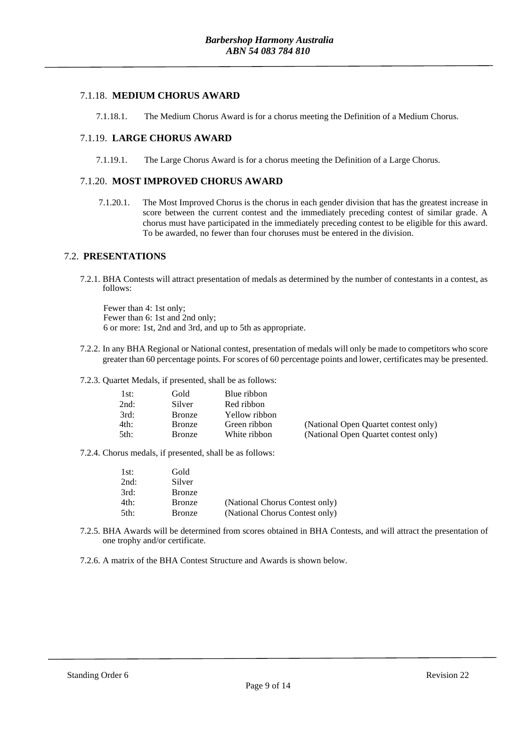# 7.1.18. **MEDIUM CHORUS AWARD**

7.1.18.1. The Medium Chorus Award is for a chorus meeting the Definition of a Medium Chorus.

# 7.1.19. **LARGE CHORUS AWARD**

7.1.19.1. The Large Chorus Award is for a chorus meeting the Definition of a Large Chorus.

# 7.1.20. **MOST IMPROVED CHORUS AWARD**

7.1.20.1. The Most Improved Chorus is the chorus in each gender division that has the greatest increase in score between the current contest and the immediately preceding contest of similar grade. A chorus must have participated in the immediately preceding contest to be eligible for this award. To be awarded, no fewer than four choruses must be entered in the division.

# 7.2. **PRESENTATIONS**

7.2.1. BHA Contests will attract presentation of medals as determined by the number of contestants in a contest, as follows:

Fewer than 4: 1st only; Fewer than 6: 1st and 2nd only; 6 or more: 1st, 2nd and 3rd, and up to 5th as appropriate.

7.2.2. In any BHA Regional or National contest, presentation of medals will only be made to competitors who score greater than 60 percentage points. For scores of 60 percentage points and lower, certificates may be presented.

7.2.3. Quartet Medals, if presented, shall be as follows:

| lst: | Gold          | Blue ribbon   |                                      |
|------|---------------|---------------|--------------------------------------|
| 2nd: | Silver        | Red ribbon    |                                      |
| 3rd: | <b>Bronze</b> | Yellow ribbon |                                      |
| 4th: | <b>Bronze</b> | Green ribbon  | (National Open Quartet contest only) |
| 5th: | <b>Bronze</b> | White ribbon  | (National Open Quartet contest only) |

7.2.4. Chorus medals, if presented, shall be as follows:

| 1st: | Gold          |                                |
|------|---------------|--------------------------------|
| 2nd: | Silver        |                                |
| 3rd: | <b>Bronze</b> |                                |
| 4th: | <b>Bronze</b> | (National Chorus Contest only) |
| 5th: | <b>Bronze</b> | (National Chorus Contest only) |

7.2.5. BHA Awards will be determined from scores obtained in BHA Contests, and will attract the presentation of one trophy and/or certificate.

7.2.6. A matrix of the BHA Contest Structure and Awards is shown below.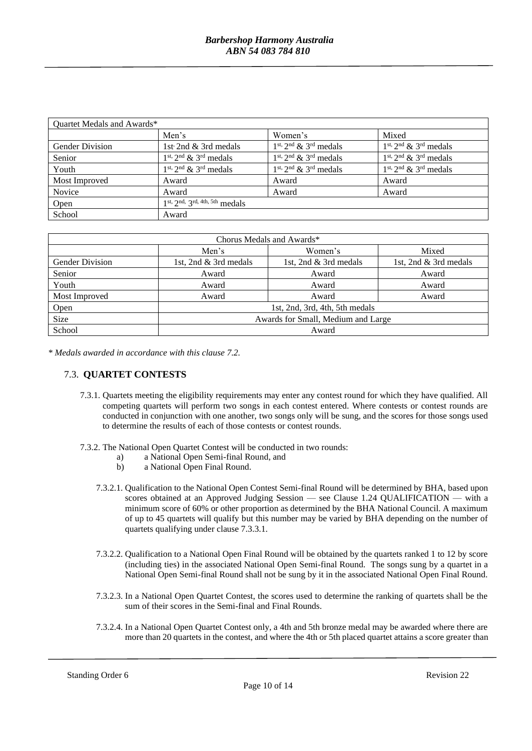| Quartet Medals and Awards* |                                |                              |                              |  |  |  |
|----------------------------|--------------------------------|------------------------------|------------------------------|--|--|--|
|                            | Men's                          | Women's                      | Mixed                        |  |  |  |
| <b>Gender Division</b>     | 1st 2nd & 3rd medals           | $1st$ , $2nd$ & $3rd$ medals | $1st$ , $2nd$ & $3rd$ medals |  |  |  |
| Senior                     | $1st$ , $2nd$ & $3rd$ medals   | $1st$ , $2nd$ & $3rd$ medals | $1st$ , $2nd$ & $3rd$ medals |  |  |  |
| Youth                      | $1st$ , $2nd$ & $3rd$ medals   | $1st$ , $2nd$ & $3rd$ medals | $1st$ , $2nd$ & $3rd$ medals |  |  |  |
| Most Improved              | Award                          | Award                        | Award                        |  |  |  |
| Novice                     | Award                          | Award                        | Award                        |  |  |  |
| Open                       | 1st, 2nd, 3rd, 4th, 5th medals |                              |                              |  |  |  |
| School                     | Award                          |                              |                              |  |  |  |

| Chorus Medals and Awards* |                                    |                       |                       |  |  |  |
|---------------------------|------------------------------------|-----------------------|-----------------------|--|--|--|
|                           | Men's                              | Women's               | Mixed                 |  |  |  |
| <b>Gender Division</b>    | 1st, 2nd $\&$ 3rd medals           | 1st, 2nd & 3rd medals | 1st, 2nd & 3rd medals |  |  |  |
| Senior                    | Award                              | Award                 | Award                 |  |  |  |
| Youth                     | Award                              | Award                 | Award                 |  |  |  |
| Most Improved             | Award                              | Award                 | Award                 |  |  |  |
| Open                      | 1st, 2nd, 3rd, 4th, 5th medals     |                       |                       |  |  |  |
| <b>Size</b>               | Awards for Small, Medium and Large |                       |                       |  |  |  |
| School                    | Award                              |                       |                       |  |  |  |

*\* Medals awarded in accordance with this clause 7.2.*

#### 7.3. **QUARTET CONTESTS**

- 7.3.1. Quartets meeting the eligibility requirements may enter any contest round for which they have qualified. All competing quartets will perform two songs in each contest entered. Where contests or contest rounds are conducted in conjunction with one another, two songs only will be sung, and the scores for those songs used to determine the results of each of those contests or contest rounds.
- 7.3.2. The National Open Quartet Contest will be conducted in two rounds:
	- a) a National Open Semi-final Round, and<br>b) a National Open Final Round.
		- a National Open Final Round.
	- 7.3.2.1. Qualification to the National Open Contest Semi-final Round will be determined by BHA, based upon scores obtained at an Approved Judging Session — see Clause 1.24 QUALIFICATION — with a minimum score of 60% or other proportion as determined by the BHA National Council. A maximum of up to 45 quartets will qualify but this number may be varied by BHA depending on the number of quartets qualifying under clause 7.3.3.1.
	- 7.3.2.2. Qualification to a National Open Final Round will be obtained by the quartets ranked 1 to 12 by score (including ties) in the associated National Open Semi-final Round. The songs sung by a quartet in a National Open Semi-final Round shall not be sung by it in the associated National Open Final Round.
	- 7.3.2.3. In a National Open Quartet Contest, the scores used to determine the ranking of quartets shall be the sum of their scores in the Semi-final and Final Rounds.
	- 7.3.2.4. In a National Open Quartet Contest only, a 4th and 5th bronze medal may be awarded where there are more than 20 quartets in the contest, and where the 4th or 5th placed quartet attains a score greater than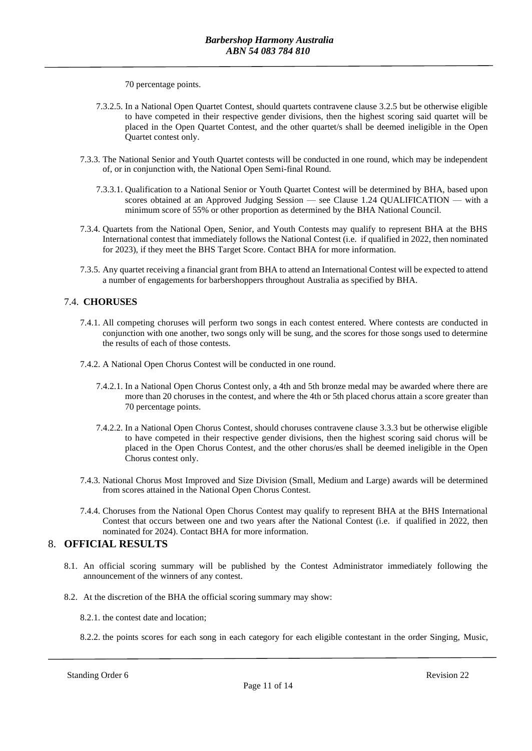70 percentage points.

- 7.3.2.5. In a National Open Quartet Contest, should quartets contravene clause 3.2.5 but be otherwise eligible to have competed in their respective gender divisions, then the highest scoring said quartet will be placed in the Open Quartet Contest, and the other quartet/s shall be deemed ineligible in the Open Quartet contest only.
- 7.3.3. The National Senior and Youth Quartet contests will be conducted in one round, which may be independent of, or in conjunction with, the National Open Semi-final Round.
	- 7.3.3.1. Qualification to a National Senior or Youth Quartet Contest will be determined by BHA, based upon scores obtained at an Approved Judging Session — see Clause 1.24 QUALIFICATION — with a minimum score of 55% or other proportion as determined by the BHA National Council.
- 7.3.4. Quartets from the National Open, Senior, and Youth Contests may qualify to represent BHA at the BHS International contest that immediately follows the National Contest (i.e. if qualified in 2022, then nominated for 2023), if they meet the BHS Target Score. Contact BHA for more information.
- 7.3.5. Any quartet receiving a financial grant from BHA to attend an International Contest will be expected to attend a number of engagements for barbershoppers throughout Australia as specified by BHA.

#### 7.4. **CHORUSES**

- 7.4.1. All competing choruses will perform two songs in each contest entered. Where contests are conducted in conjunction with one another, two songs only will be sung, and the scores for those songs used to determine the results of each of those contests.
- 7.4.2. A National Open Chorus Contest will be conducted in one round.
	- 7.4.2.1. In a National Open Chorus Contest only, a 4th and 5th bronze medal may be awarded where there are more than 20 choruses in the contest, and where the 4th or 5th placed chorus attain a score greater than 70 percentage points.
	- 7.4.2.2. In a National Open Chorus Contest, should choruses contravene clause 3.3.3 but be otherwise eligible to have competed in their respective gender divisions, then the highest scoring said chorus will be placed in the Open Chorus Contest, and the other chorus/es shall be deemed ineligible in the Open Chorus contest only.
- 7.4.3. National Chorus Most Improved and Size Division (Small, Medium and Large) awards will be determined from scores attained in the National Open Chorus Contest.
- 7.4.4. Choruses from the National Open Chorus Contest may qualify to represent BHA at the BHS International Contest that occurs between one and two years after the National Contest (i.e. if qualified in 2022, then nominated for 2024). Contact BHA for more information.

### 8. **OFFICIAL RESULTS**

- 8.1. An official scoring summary will be published by the Contest Administrator immediately following the announcement of the winners of any contest.
- 8.2. At the discretion of the BHA the official scoring summary may show:

8.2.1. the contest date and location;

8.2.2. the points scores for each song in each category for each eligible contestant in the order Singing, Music,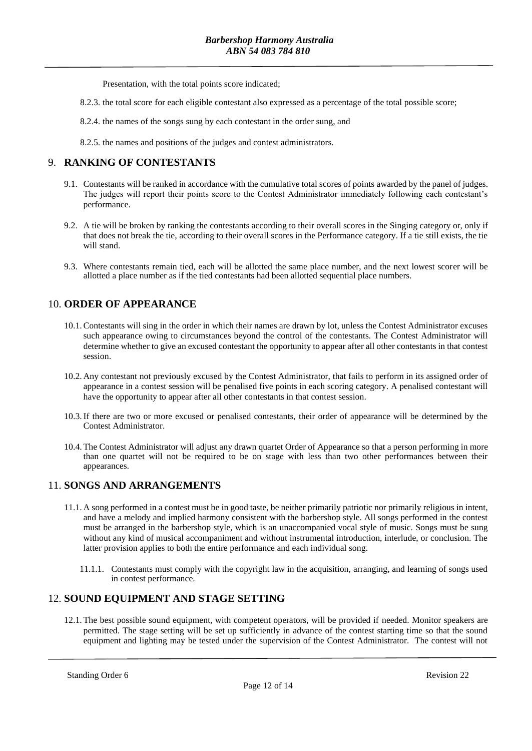Presentation, with the total points score indicated;

8.2.3. the total score for each eligible contestant also expressed as a percentage of the total possible score;

8.2.4. the names of the songs sung by each contestant in the order sung, and

8.2.5. the names and positions of the judges and contest administrators.

# 9. **RANKING OF CONTESTANTS**

- 9.1. Contestants will be ranked in accordance with the cumulative total scores of points awarded by the panel of judges. The judges will report their points score to the Contest Administrator immediately following each contestant's performance.
- 9.2. A tie will be broken by ranking the contestants according to their overall scores in the Singing category or, only if that does not break the tie, according to their overall scores in the Performance category. If a tie still exists, the tie will stand.
- 9.3. Where contestants remain tied, each will be allotted the same place number, and the next lowest scorer will be allotted a place number as if the tied contestants had been allotted sequential place numbers.

# 10. **ORDER OF APPEARANCE**

- 10.1.Contestants will sing in the order in which their names are drawn by lot, unless the Contest Administrator excuses such appearance owing to circumstances beyond the control of the contestants. The Contest Administrator will determine whether to give an excused contestant the opportunity to appear after all other contestants in that contest session.
- 10.2. Any contestant not previously excused by the Contest Administrator, that fails to perform in its assigned order of appearance in a contest session will be penalised five points in each scoring category. A penalised contestant will have the opportunity to appear after all other contestants in that contest session.
- 10.3.If there are two or more excused or penalised contestants, their order of appearance will be determined by the Contest Administrator.
- 10.4.The Contest Administrator will adjust any drawn quartet Order of Appearance so that a person performing in more than one quartet will not be required to be on stage with less than two other performances between their appearances.

# 11. **SONGS AND ARRANGEMENTS**

- 11.1. A song performed in a contest must be in good taste, be neither primarily patriotic nor primarily religious in intent, and have a melody and implied harmony consistent with the barbershop style. All songs performed in the contest must be arranged in the barbershop style, which is an unaccompanied vocal style of music. Songs must be sung without any kind of musical accompaniment and without instrumental introduction, interlude, or conclusion. The latter provision applies to both the entire performance and each individual song.
	- 11.1.1. Contestants must comply with the copyright law in the acquisition, arranging, and learning of songs used in contest performance.

#### 12. **SOUND EQUIPMENT AND STAGE SETTING**

12.1.The best possible sound equipment, with competent operators, will be provided if needed. Monitor speakers are permitted. The stage setting will be set up sufficiently in advance of the contest starting time so that the sound equipment and lighting may be tested under the supervision of the Contest Administrator. The contest will not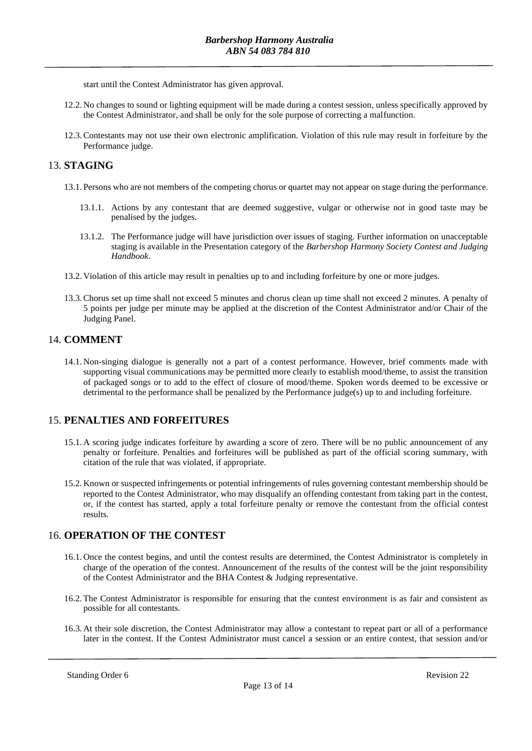start until the Contest Administrator has given approval.

- 12.2. No changes to sound or lighting equipment will be made during a contest session, unless specifically approved by the Contest Administrator, and shall be only for the sole purpose of correcting a malfunction.
- 12.3.Contestants may not use their own electronic amplification. Violation of this rule may result in forfeiture by the Performance judge.

# 13. **STAGING**

- 13.1. Persons who are not members of the competing chorus or quartet may not appear on stage during the performance.
	- 13.1.1. Actions by any contestant that are deemed suggestive, vulgar or otherwise not in good taste may be penalised by the judges.
	- 13.1.2. The Performance judge will have jurisdiction over issues of staging. Further information on unacceptable staging is available in the Presentation category of the *Barbershop Harmony Society Contest and Judging Handbook*.
- 13.2. Violation of this article may result in penalties up to and including forfeiture by one or more judges.
- 13.3.Chorus set up time shall not exceed 5 minutes and chorus clean up time shall not exceed 2 minutes. A penalty of 5 points per judge per minute may be applied at the discretion of the Contest Administrator and/or Chair of the Judging Panel.

# 14. **COMMENT**

14.1. Non-singing dialogue is generally not a part of a contest performance. However, brief comments made with supporting visual communications may be permitted more clearly to establish mood/theme, to assist the transition of packaged songs or to add to the effect of closure of mood/theme. Spoken words deemed to be excessive or detrimental to the performance shall be penalized by the Performance judge(s) up to and including forfeiture.

# 15. **PENALTIES AND FORFEITURES**

- 15.1. A scoring judge indicates forfeiture by awarding a score of zero. There will be no public announcement of any penalty or forfeiture. Penalties and forfeitures will be published as part of the official scoring summary, with citation of the rule that was violated, if appropriate.
- 15.2. Known or suspected infringements or potential infringements of rules governing contestant membership should be reported to the Contest Administrator, who may disqualify an offending contestant from taking part in the contest, or, if the contest has started, apply a total forfeiture penalty or remove the contestant from the official contest results.

#### 16. **OPERATION OF THE CONTEST**

- 16.1. Once the contest begins, and until the contest results are determined, the Contest Administrator is completely in charge of the operation of the contest. Announcement of the results of the contest will be the joint responsibility of the Contest Administrator and the BHA Contest & Judging representative.
- 16.2.The Contest Administrator is responsible for ensuring that the contest environment is as fair and consistent as possible for all contestants.
- 16.3. At their sole discretion, the Contest Administrator may allow a contestant to repeat part or all of a performance later in the contest. If the Contest Administrator must cancel a session or an entire contest, that session and/or